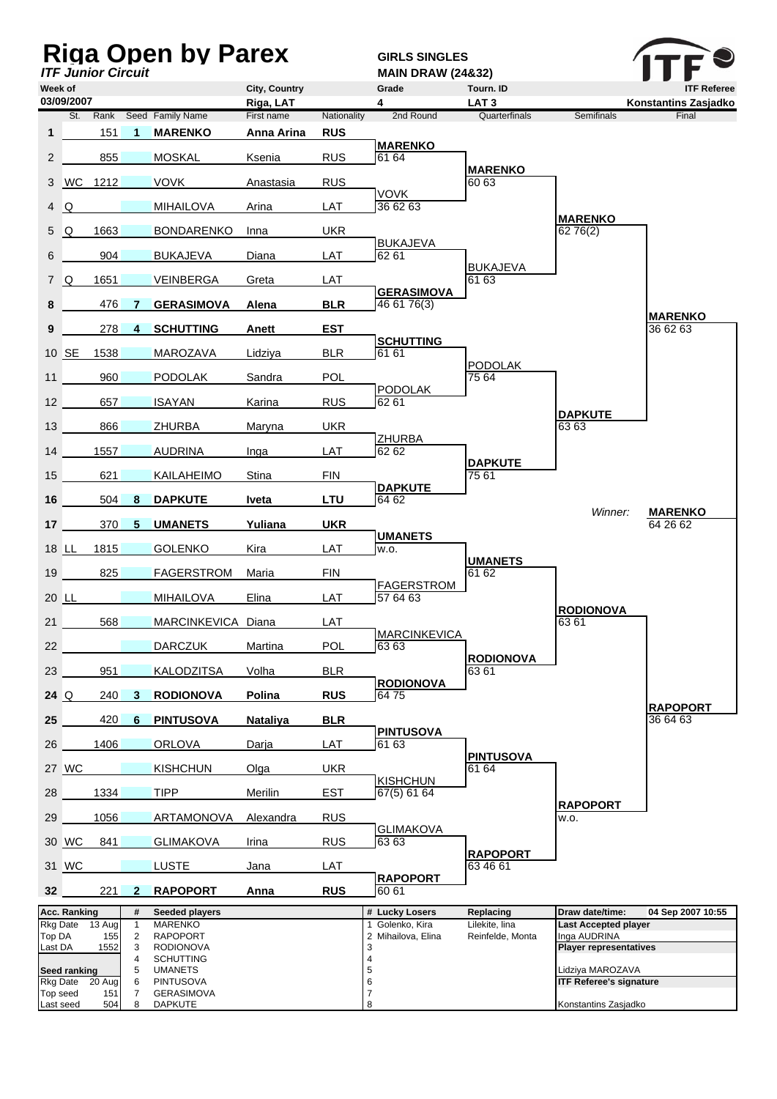| <b>Riga Open by Parex</b><br><b>ITF Junior Circuit</b> |                                 |          |                   |                                      |                 |             | <b>GIRLS SINGLES</b>                               |                             |                                                    |                             |
|--------------------------------------------------------|---------------------------------|----------|-------------------|--------------------------------------|-----------------|-------------|----------------------------------------------------|-----------------------------|----------------------------------------------------|-----------------------------|
| Week of                                                |                                 |          |                   |                                      | City, Country   |             | <b>MAIN DRAW (24&amp;32)</b><br>Grade<br>Tourn. ID |                             | <b>ITF Referee</b>                                 |                             |
|                                                        | 03/09/2007                      |          |                   |                                      | Riga, LAT       |             | 4                                                  | LAT <sub>3</sub>            |                                                    | Konstantins Zasjadko        |
|                                                        |                                 | St. Rank |                   | Seed Family Name                     | First name      | Nationality | 2nd Round                                          | Quarterfinals               | <b>Semifinals</b>                                  | Final                       |
| 1                                                      |                                 | 151      | 1                 | <b>MARENKO</b>                       | Anna Arina      | <b>RUS</b>  | <b>MARENKO</b>                                     |                             |                                                    |                             |
| $\mathbf{2}^{\prime}$                                  |                                 | 855      |                   | <b>MOSKAL</b>                        | Ksenia          | <b>RUS</b>  | 61 64                                              | <b>MARENKO</b>              |                                                    |                             |
| 3                                                      | <b>WC</b>                       | 1212     |                   | <b>VOVK</b>                          | Anastasia       | <b>RUS</b>  |                                                    | 60 63                       |                                                    |                             |
| 4                                                      | Q                               |          |                   | <b>MIHAILOVA</b>                     | Arina           | LAT         | <b>VOVK</b><br>36 62 63                            |                             |                                                    |                             |
| 5                                                      | Q                               | 1663     |                   | <b>BONDARENKO</b>                    | Inna            | <b>UKR</b>  |                                                    |                             | <b>MARENKO</b><br>6276(2)                          |                             |
| 6                                                      |                                 | 904      |                   | <b>BUKAJEVA</b>                      | Diana           | LAT         | <b>BUKAJEVA</b><br>62 61                           |                             |                                                    |                             |
|                                                        | 7 Q                             | 1651     |                   | <b>VEINBERGA</b>                     | Greta           | LAT         |                                                    | <b>BUKAJEVA</b><br>61 63    |                                                    |                             |
| 8                                                      |                                 | 476      |                   | <b>GERASIMOVA</b>                    | Alena           | <b>BLR</b>  | <b>GERASIMOVA</b><br>46 61 76(3)                   |                             |                                                    |                             |
|                                                        |                                 | 278      |                   |                                      |                 | <b>EST</b>  |                                                    |                             |                                                    | <b>MARENKO</b><br>36 62 63  |
| 9                                                      |                                 |          | 4                 | <b>SCHUTTING</b>                     | Anett           |             | <b>SCHUTTING</b>                                   |                             |                                                    |                             |
|                                                        | 10 SE                           | 1538     |                   | <b>MAROZAVA</b>                      | Lidziya         | <b>BLR</b>  | 61 61                                              | <b>PODOLAK</b>              |                                                    |                             |
| 11                                                     |                                 | 960      |                   | <b>PODOLAK</b>                       | Sandra          | <b>POL</b>  | <b>PODOLAK</b>                                     | 75 64                       |                                                    |                             |
| 12                                                     |                                 | 657      |                   | <b>ISAYAN</b>                        | Karina          | <b>RUS</b>  | 62 61                                              |                             | <b>DAPKUTE</b>                                     |                             |
| 13                                                     |                                 | 866      |                   | <b>ZHURBA</b>                        | Maryna          | <b>UKR</b>  |                                                    |                             | 63 63                                              |                             |
| 14                                                     |                                 | 1557     |                   | <b>AUDRINA</b>                       | Inga            | LAT         | <b>ZHURBA</b><br>62 62                             |                             |                                                    |                             |
| 15                                                     |                                 | 621      |                   | KAILAHEIMO                           | Stina           | <b>FIN</b>  |                                                    | <b>DAPKUTE</b><br>75 61     |                                                    |                             |
| 16                                                     |                                 | 504      | 8                 | <b>DAPKUTE</b>                       | Iveta           | <b>LTU</b>  | <b>DAPKUTE</b><br>64 62                            |                             |                                                    |                             |
| 17                                                     |                                 | 370      | 5                 | <b>UMANETS</b>                       | Yuliana         | <b>UKR</b>  |                                                    |                             | Winner:                                            | <b>MARENKO</b><br>64 26 62  |
|                                                        | 18 LL                           | 1815     |                   | <b>GOLENKO</b>                       | Kira            | LAT         | <b>UMANETS</b><br>W.O.                             |                             |                                                    |                             |
|                                                        |                                 |          |                   |                                      |                 |             |                                                    | <b>UMANETS</b>              |                                                    |                             |
| 19                                                     |                                 | 825      |                   | <b>FAGERSTROM</b>                    | Maria           | <b>FIN</b>  | <b>FAGERSTROM</b>                                  | 61 62                       |                                                    |                             |
|                                                        | 20 LL                           |          |                   | <b>MIHAILOVA</b>                     | Elina           | LAT         | 57 64 63                                           |                             | <b>RODIONOVA</b>                                   |                             |
| 21                                                     |                                 | 568      |                   | MARCINKEVICA Diana                   |                 | LAT         | <b>MARCINKEVICA</b>                                |                             | 63 61                                              |                             |
| 22                                                     |                                 |          |                   | <b>DARCZUK</b>                       | Martina         | POL         | 63 63                                              | <b>RODIONOVA</b>            |                                                    |                             |
| 23                                                     |                                 | 951      |                   | <b>KALODZITSA</b>                    | Volha           | <b>BLR</b>  | <b>RODIONOVA</b>                                   | 63 61                       |                                                    |                             |
| 24 $\Omega$                                            |                                 | 240      | 3                 | <b>RODIONOVA</b>                     | Polina          | <b>RUS</b>  | 6475                                               |                             |                                                    |                             |
| 25                                                     |                                 | 420      | 6                 | <b>PINTUSOVA</b>                     | <b>Nataliya</b> | <b>BLR</b>  |                                                    |                             |                                                    | <b>RAPOPORT</b><br>36 64 63 |
| 26                                                     |                                 | 1406     |                   | <b>ORLOVA</b>                        | Darja           | LAT         | <b>PINTUSOVA</b><br>61 63                          |                             |                                                    |                             |
|                                                        | 27 WC                           |          |                   | <b>KISHCHUN</b>                      | Olga            | <b>UKR</b>  |                                                    | <b>PINTUSOVA</b><br>61 64   |                                                    |                             |
| 28                                                     |                                 | 1334     |                   | <b>TIPP</b>                          | Merilin         | EST         | <b>KISHCHUN</b><br>67(5) 61 64                     |                             |                                                    |                             |
| 29                                                     |                                 | 1056     |                   | ARTAMONOVA                           | Alexandra       | <b>RUS</b>  |                                                    |                             | <b>RAPOPORT</b><br>W.O.                            |                             |
|                                                        |                                 |          |                   |                                      |                 |             | <b>GLIMAKOVA</b>                                   |                             |                                                    |                             |
|                                                        | 30 WC                           | 841      |                   | <b>GLIMAKOVA</b>                     | Irina           | <b>RUS</b>  | 63 63                                              | <b>RAPOPORT</b>             |                                                    |                             |
|                                                        | 31 WC                           |          |                   | <b>LUSTE</b>                         | Jana            | LAT         | <b>RAPOPORT</b>                                    | 63 46 61                    |                                                    |                             |
| 32 <sup>2</sup>                                        |                                 | 221      | 2                 | <b>RAPOPORT</b>                      | Anna            | <b>RUS</b>  | 60 61                                              |                             |                                                    |                             |
|                                                        | Acc. Ranking<br>Rkg Date        | 13 Aug   | #<br>$\mathbf{1}$ | Seeded players<br>MARENKO            |                 |             | # Lucky Losers<br>1 Golenko, Kira                  | Replacing<br>Lilekite, lina | Draw date/time:<br><b>Last Accepted player</b>     | 04 Sep 2007 10:55           |
| Top DA                                                 |                                 | 155      | $\overline{2}$    | <b>RAPOPORT</b>                      |                 |             | 2 Mihailova, Elina                                 | Reinfelde, Monta            | Inga AUDRINA                                       |                             |
| Last DA                                                |                                 | 1552     | 3<br>4            | <b>RODIONOVA</b><br><b>SCHUTTING</b> |                 |             | 3<br>4                                             |                             | <b>Player representatives</b>                      |                             |
|                                                        | Seed ranking<br><b>Rkg Date</b> | 20 Aug   | 5<br>6            | <b>UMANETS</b><br><b>PINTUSOVA</b>   |                 |             | 5<br>6                                             |                             | Lidziya MAROZAVA<br><b>ITF Referee's signature</b> |                             |
| Top seed                                               |                                 | 151      | $\overline{7}$    | <b>GERASIMOVA</b>                    |                 |             | 7                                                  |                             |                                                    |                             |
| Last seed                                              |                                 | 504      | 8                 | <b>DAPKUTE</b>                       |                 |             | 8                                                  |                             | Konstantins Zasjadko                               |                             |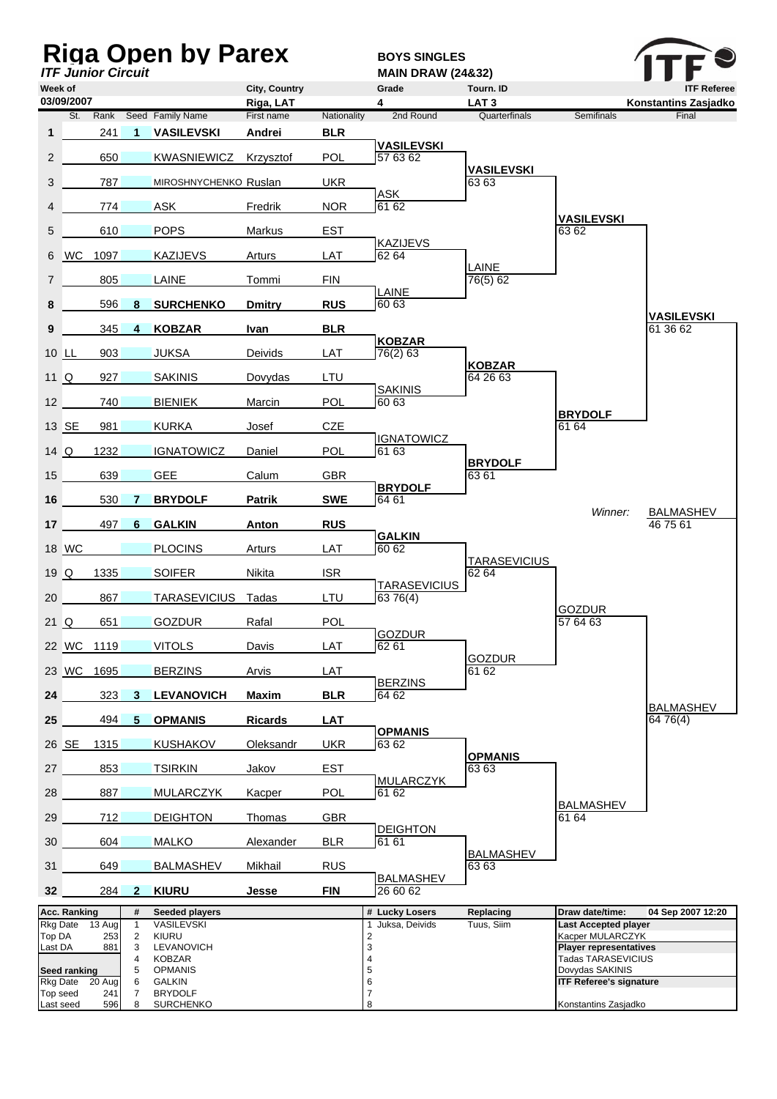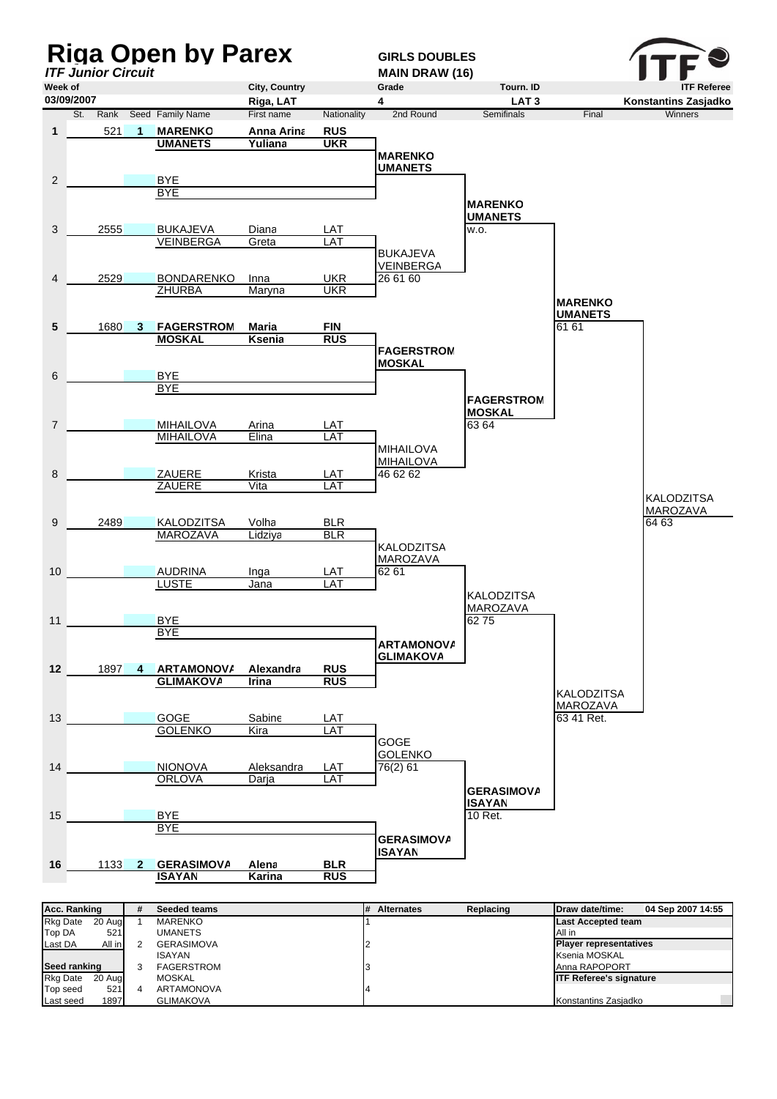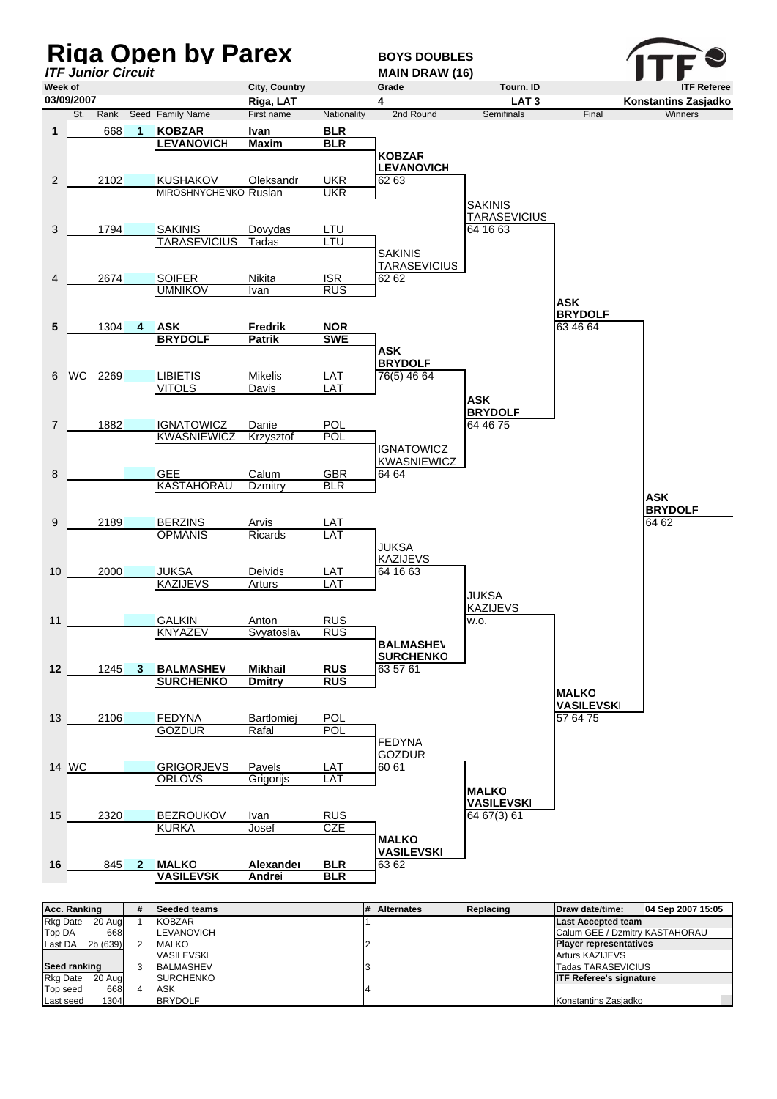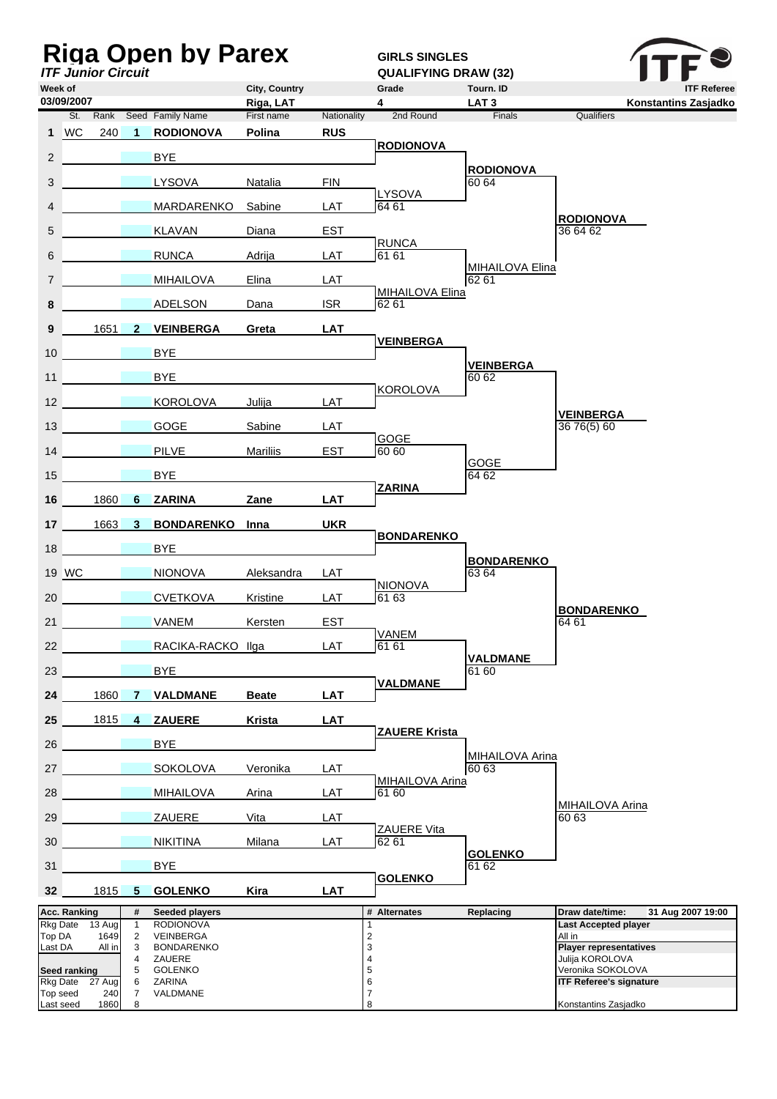| <b>Riga Open by Parex</b><br><b>ITF Junior Circuit</b> |                     |                                        |                     |                                               |                            |                           | <b>GIRLS SINGLES</b><br><b>QUALIFYING DRAW (32)</b> |                               |                                                              |
|--------------------------------------------------------|---------------------|----------------------------------------|---------------------|-----------------------------------------------|----------------------------|---------------------------|-----------------------------------------------------|-------------------------------|--------------------------------------------------------------|
| Week of<br>03/09/2007                                  |                     |                                        |                     |                                               | City, Country<br>Riga, LAT |                           | Grade<br>4                                          | Tourn. ID<br>LAT <sub>3</sub> | <b>ITF Referee</b><br>Konstantins Zasjadko                   |
|                                                        | 1 WC                | 240                                    | $\overline{1}$      | St. Rank Seed Family Name<br><b>RODIONOVA</b> | First name<br>Polina       | Nationality<br><b>RUS</b> | 2nd Round                                           | Finals                        | Qualifiers                                                   |
|                                                        |                     |                                        |                     |                                               |                            |                           | <b>RODIONOVA</b>                                    |                               |                                                              |
| $2^{\circ}$                                            |                     |                                        |                     | BYE.                                          |                            |                           |                                                     | <b>RODIONOVA</b>              |                                                              |
| 3                                                      |                     |                                        |                     | <b>LYSOVA</b>                                 | Natalia                    | <b>FIN</b>                | <b>LYSOVA</b>                                       | 60 64                         |                                                              |
| 4                                                      |                     |                                        |                     | MARDARENKO                                    | Sabine                     | LAT                       | 64 61                                               |                               | <b>RODIONOVA</b>                                             |
| 5                                                      |                     |                                        |                     | <b>KLAVAN</b>                                 | Diana                      | <b>EST</b>                | <b>RUNCA</b>                                        |                               | 36 64 62                                                     |
| 6                                                      |                     |                                        |                     | <b>RUNCA</b>                                  | Adrija                     | LAT                       | 61 61                                               | <b>MIHAILOVA Elina</b>        |                                                              |
| $\overline{7}$                                         |                     |                                        |                     | <b>MIHAILOVA</b>                              | Elina                      | LAT                       | MIHAILOVA Elina                                     | 62 61                         |                                                              |
| 8                                                      |                     |                                        |                     | <b>ADELSON</b>                                | Dana                       | <b>ISR</b>                | 62 61                                               |                               |                                                              |
| 9                                                      |                     | $1651$ 2                               |                     | <b>VEINBERGA</b>                              | Greta                      | <b>LAT</b>                | <b>VEINBERGA</b>                                    |                               |                                                              |
| 10                                                     |                     |                                        |                     | <b>BYE</b>                                    |                            |                           |                                                     | <b>VEINBERGA</b>              |                                                              |
| 11                                                     |                     | <b><i>Contract Contract States</i></b> |                     | <b>BYE</b>                                    |                            |                           |                                                     | 60 62                         |                                                              |
| 12                                                     |                     | <b>Contract Contract Contract</b>      |                     | <b>KOROLOVA</b>                               | Julija                     | LAT                       | <b>KOROLOVA</b>                                     |                               |                                                              |
| 13 <sup>2</sup>                                        |                     | <u>a sa sala</u>                       |                     | <b>GOGE</b>                                   | Sabine                     | LAT                       |                                                     |                               | <b>VEINBERGA</b><br>36 76(5) 60                              |
| 14                                                     |                     |                                        |                     | <b>PILVE</b>                                  | <b>Mariliis</b>            | <b>EST</b>                | GOGE<br>60 60                                       |                               |                                                              |
| 15                                                     |                     |                                        |                     | <b>BYE</b>                                    |                            |                           |                                                     | GOGE<br>64 62                 |                                                              |
| 16                                                     |                     | 1860                                   | 6                   | <b>ZARINA</b>                                 | Zane                       | <b>LAT</b>                | <b>ZARINA</b>                                       |                               |                                                              |
| 17 <sup>17</sup>                                       |                     | 1663                                   | 3                   | <b>BONDARENKO</b> Inna                        |                            | <b>UKR</b>                |                                                     |                               |                                                              |
| 18                                                     |                     |                                        |                     | <b>BYE</b>                                    |                            |                           | <b>BONDARENKO</b>                                   |                               |                                                              |
|                                                        | 19 WC               |                                        |                     | <b>NIONOVA</b>                                | Aleksandra                 | LAT                       |                                                     | <b>BONDARENKO</b><br>63 64    |                                                              |
| 20                                                     |                     |                                        |                     | <b>CVETKOVA</b>                               | Kristine                   | LAT                       | <b>NIONOVA</b><br>61 63                             |                               |                                                              |
| 21                                                     |                     |                                        |                     | <b>Example 18 VANEM</b>                       | Kersten                    | <b>EST</b>                |                                                     |                               | <b>BONDARENKO</b><br>64 61                                   |
| 22                                                     |                     |                                        |                     | RACIKA-RACKO Ilga                             |                            | LAT                       | VANEM<br>61 61                                      |                               |                                                              |
| 23                                                     |                     |                                        |                     | <b>BYE</b>                                    |                            |                           |                                                     | <b>VALDMANE</b><br>61 60      |                                                              |
|                                                        |                     |                                        |                     |                                               |                            |                           | <b>VALDMANE</b>                                     |                               |                                                              |
| 24                                                     |                     | 1860                                   | <b>7</b>            | <b>VALDMANE</b>                               | <b>Beate</b>               | <b>LAT</b>                |                                                     |                               |                                                              |
| 25                                                     |                     | 1815                                   | 4                   | <b>ZAUERE</b>                                 | Krista                     | <b>LAT</b>                | <b>ZAUERE Krista</b>                                |                               |                                                              |
| 26                                                     |                     |                                        |                     | BYE                                           |                            |                           |                                                     | MIHAILOVA Arina               |                                                              |
| 27                                                     |                     |                                        |                     | <b>SOKOLOVA</b>                               | Veronika                   | LAT                       | MIHAILOVA Arina                                     | 60 63                         |                                                              |
| 28                                                     |                     | <b>Contract Contract State</b>         |                     | <b>MIHAILOVA</b>                              | Arina                      | LAT                       | 61 60                                               |                               | <b>MIHAILOVA Arina</b>                                       |
| 29                                                     |                     |                                        |                     | ZAUERE                                        | Vita                       | LAT                       | ZAUERE Vita                                         |                               | 60 63                                                        |
| 30                                                     |                     |                                        |                     | <b>NIKITINA</b>                               | Milana                     | LAT                       | 62 61                                               | <b>GOLENKO</b>                |                                                              |
| 31                                                     |                     |                                        |                     | <b>BYE</b>                                    |                            |                           | <b>GOLENKO</b>                                      | 61 62                         |                                                              |
| 32 <sub>2</sub>                                        |                     | 1815                                   | $5^{\circ}$         | <b>GOLENKO</b>                                | Kira                       | <b>LAT</b>                |                                                     |                               |                                                              |
| <b>Rkg Date</b>                                        | <b>Acc. Ranking</b> | 13 Aug                                 | #<br>$\mathbf{1}$   | Seeded players<br><b>RODIONOVA</b>            |                            |                           | # Alternates<br>1                                   | Replacing                     | 31 Aug 2007 19:00<br>Draw date/time:<br>Last Accepted player |
| Top DA<br>Last DA                                      |                     | 1649<br>All in                         | $\overline{2}$<br>3 | VEINBERGA<br><b>BONDARENKO</b>                |                            |                           | $\sqrt{2}$<br>3                                     |                               | All in<br><b>Player representatives</b>                      |
|                                                        | Seed ranking        |                                        | 4<br>5              | ZAUERE<br><b>GOLENKO</b>                      |                            |                           | 4<br>5                                              |                               | Julija KOROLOVA<br>Veronika SOKOLOVA                         |
| Top seed                                               |                     | Rkg Date 27 Aug<br>240                 | 6<br>7              | ZARINA<br>VALDMANE                            |                            |                           | 6<br>$\overline{7}$                                 |                               | <b>ITF Referee's signature</b>                               |
| Last seed                                              |                     | 1860                                   | 8                   |                                               |                            |                           | 8                                                   |                               | Konstantins Zasjadko                                         |